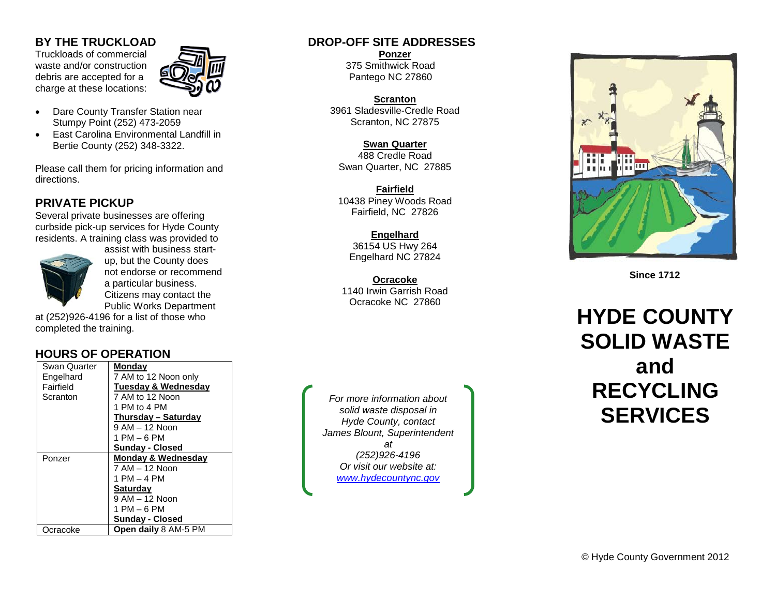### **BY THE TRUCKLOAD**

Truckloads of commercial waste and/or construction debris are accepted for a charge at these locations:



- Dare County Transfer Station near Stumpy Point (252) 473 -2059
- East Carolina Environmental Landfill in Bertie County (252) 348 -3322.

Please call them for pricing information and directions.

# **PRIVATE PICKUP**

Several private businesses are offering curbside pick -up services for Hyde County residents. A training class was provided to



assist with business start up, but the County does not endorse or recommend a particular business. Citizens may contact the Public Works Department

at (252 )926 -4196 for a list of those who completed the training.

# **HOURS OF OPERATION**

| Swan Quarter | Monday                        |
|--------------|-------------------------------|
| Engelhard    | 7 AM to 12 Noon only          |
| Fairfield    | Tuesday & Wednesday           |
| Scranton     | 7 AM to 12 Noon               |
|              | 1 PM to 4 PM                  |
|              | Thursday - Saturday           |
|              | $9$ AM $-$ 12 Noon            |
|              | 1 PM – 6 PM                   |
|              | <b>Sunday - Closed</b>        |
| Ponzer       | <b>Monday &amp; Wednesday</b> |
|              | 7 AM – 12 Noon                |
|              | 1 PM – 4 PM                   |
|              | <b>Saturday</b>               |
|              | 9 AM - 12 Noon                |
|              | $1$ PM $-6$ PM                |
|              | <b>Sunday - Closed</b>        |
| Ocracoke     | <b>Open daily 8 AM-5 PM</b>   |

## **DROP -OFF SITE ADDRESSES**

**Ponzer** 375 Smithwick Road Pantego NC 27860

**Scranton** 3961 Sladesville -Credle Road Scranton, NC 27875

**Swan Quarter** 488 Credle Road Swan Quarter, NC 27885

**Fairfield** 10438 Piney Woods Road Fairfield, NC 27826

**Engelhard** 36154 US Hwy 264 Engelhard NC 27824

**Ocracoke** 1140 Irwin Garrish Road Ocracoke NC 27860

*For more information about solid waste disposal in Hyde County, contact James Blount, Superintendent at (252)926 -4196 Or visit our website at: [www.hydecountync.gov](http://www.hydecountync.gov/)*



 **Since 1712**

# **HYDE COUNTY SOLID WASTE and RECYCLING SERVICES**